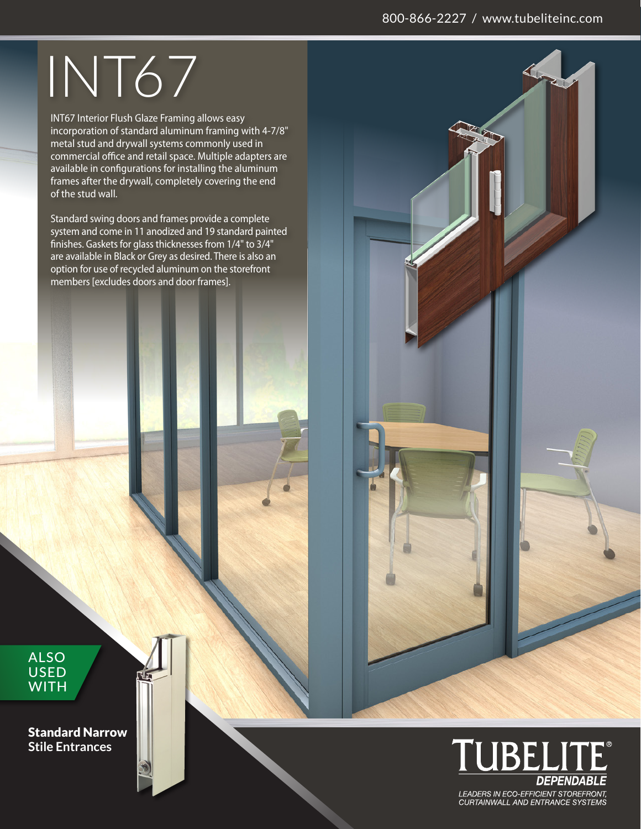## 800-866-2227 / www.tubeliteinc.com

## INT67

INT67 Interior Flush Glaze Framing allows easy incorporation of standard aluminum framing with 4-7/8" metal stud and drywall systems commonly used in commercial office and retail space. Multiple adapters are available in configurations for installing the aluminum frames after the drywall, completely covering the end of the stud wall.

Standard swing doors and frames provide a complete system and come in 11 anodized and 19 standard painted finishes. Gaskets for glass thicknesses from 1/4" to 3/4" are available in Black or Grey as desired. There is also an option for use of recycled aluminum on the storefront members [excludes doors and door frames].

ALSO USED **WITH** 

Standard Narrow **Stile Entrances**



LEADERS IN ECO-EFFICIENT STOREFRONT,<br>CURTAINWALL AND ENTRANCE SYSTEMS